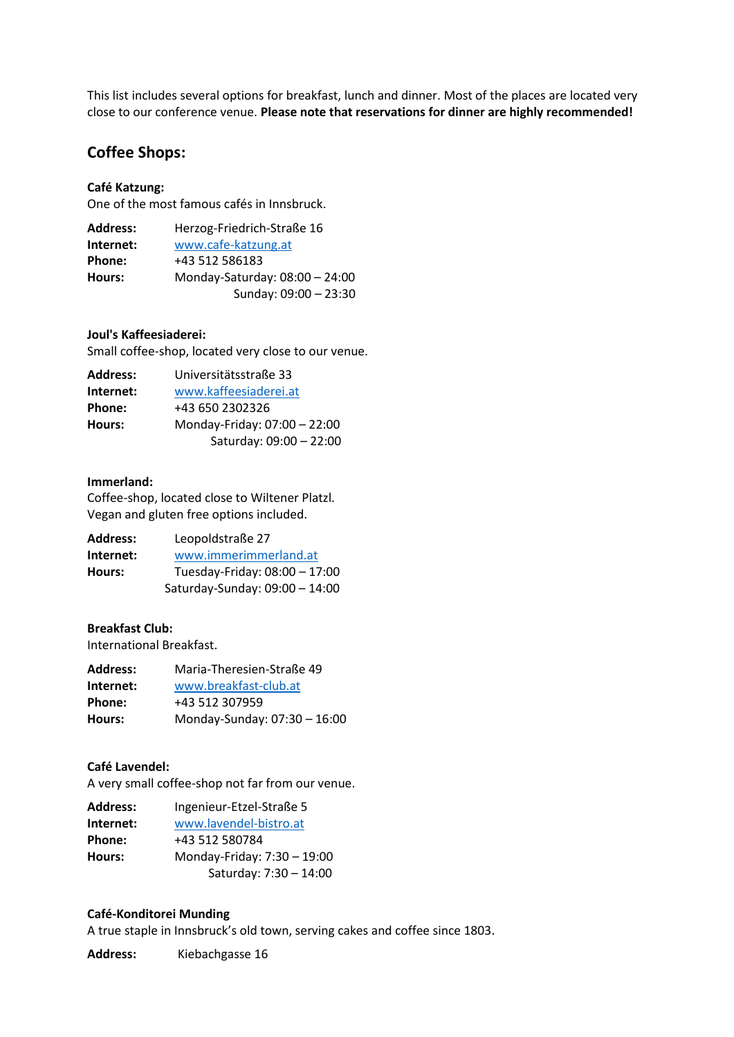This list includes several options for breakfast, lunch and dinner. Most of the places are located very close to our conference venue. **Please note that reservations for dinner are highly recommended!** 

# **Coffee Shops:**

### **Café Katzung:**

One of the most famous cafés in Innsbruck.

| <b>Address:</b> | Herzog-Friedrich-Straße 16     |
|-----------------|--------------------------------|
| Internet:       | www.cafe-katzung.at            |
| Phone:          | +43 512 586183                 |
| Hours:          | Monday-Saturday: 08:00 - 24:00 |
|                 | Sunday: 09:00 - 23:30          |
|                 |                                |

### **Joul's Kaffeesiaderei:**

Small coffee-shop, located very close to our venue.

| <b>Address:</b> | Universitätsstraße 33        |
|-----------------|------------------------------|
| Internet:       | www.kaffeesiaderei.at        |
| Phone:          | +43 650 2302326              |
| Hours:          | Monday-Friday: 07:00 - 22:00 |
|                 | Saturday: 09:00 - 22:00      |

### **Immerland:**

Coffee-shop, located close to Wiltener Platzl. Vegan and gluten free options included.

| <b>Address:</b> | Leopoldstraße 27               |
|-----------------|--------------------------------|
| Internet:       | www.immerimmerland.at          |
| Hours:          | Tuesday-Friday: 08:00 - 17:00  |
|                 | Saturday-Sunday: 09:00 - 14:00 |

#### **Breakfast Club:**

International Breakfast.

| <b>Address:</b> | Maria-Theresien-Straße 49    |
|-----------------|------------------------------|
| Internet:       | www.breakfast-club.at        |
| Phone:          | +43 512 307959               |
| Hours:          | Monday-Sunday: 07:30 - 16:00 |

#### **Café Lavendel:**

A very small coffee-shop not far from our venue.

| Address:      | Ingenieur-Etzel-Straße 5    |
|---------------|-----------------------------|
| Internet:     | www.lavendel-bistro.at      |
| <b>Phone:</b> | +43 512 580784              |
| Hours:        | Monday-Friday: 7:30 - 19:00 |
|               | Saturday: 7:30 - 14:00      |

### **Café-Konditorei Munding**

A true staple in Innsbruck's old town, serving cakes and coffee since 1803.

Address: Kiebachgasse 16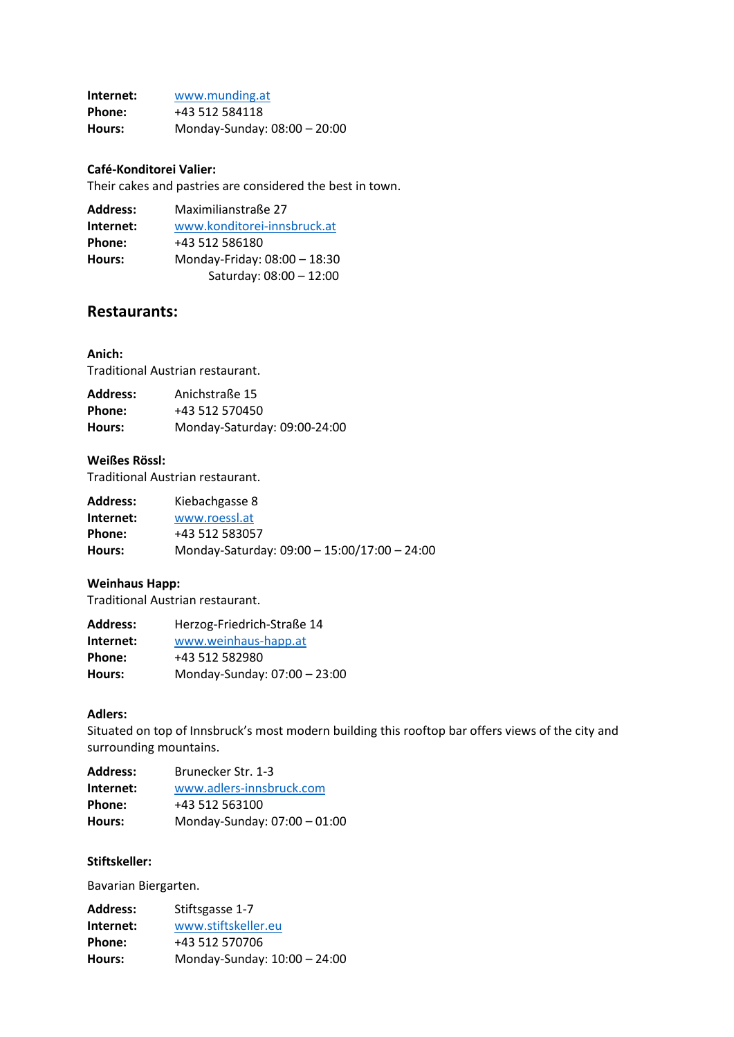**Internet:** [www.munding.at](http://www.munding.at/) **Phone:** +43 512 584118 **Hours:** Monday-Sunday: 08:00 – 20:00

### **Café-Konditorei Valier:**

Their cakes and pastries are considered the best in town.

| <b>Address:</b> | Maximilianstraße 27          |
|-----------------|------------------------------|
| Internet:       | www.konditorei-innsbruck.at  |
| Phone:          | +43 512 586180               |
| Hours:          | Monday-Friday: 08:00 - 18:30 |
|                 | Saturday: 08:00 - 12:00      |

# **Restaurants:**

### **Anich:**

Traditional Austrian restaurant.

| <b>Address:</b> | Anichstraße 15               |
|-----------------|------------------------------|
| Phone:          | +43 512 570450               |
| Hours:          | Monday-Saturday: 09:00-24:00 |

### **Weißes Rössl:**

Traditional Austrian restaurant.

| <b>Address:</b> | Kiebachgasse 8                               |
|-----------------|----------------------------------------------|
| Internet:       | www.roessl.at                                |
| Phone:          | +43 512 583057                               |
| Hours:          | Monday-Saturday: 09:00 - 15:00/17:00 - 24:00 |

### **Weinhaus Happ:**

Traditional Austrian restaurant.

| <b>Address:</b> | Herzog-Friedrich-Straße 14   |
|-----------------|------------------------------|
| Internet:       | www.weinhaus-happ.at         |
| Phone:          | +43 512 582980               |
| Hours:          | Monday-Sunday: 07:00 - 23:00 |

### **Adlers:**

Situated on top of Innsbruck's most modern building this rooftop bar offers views of the city and surrounding mountains.

| <b>Address:</b> | Brunecker Str. 1-3           |
|-----------------|------------------------------|
| Internet:       | www.adlers-innsbruck.com     |
| Phone:          | +43 512 563100               |
| Hours:          | Monday-Sunday: 07:00 - 01:00 |

# **Stiftskeller:**

Bavarian Biergarten.

| <b>Address:</b> | Stiftsgasse 1-7              |
|-----------------|------------------------------|
| Internet:       | www.stiftskeller.eu          |
| Phone:          | +43 512 570706               |
| Hours:          | Monday-Sunday: 10:00 - 24:00 |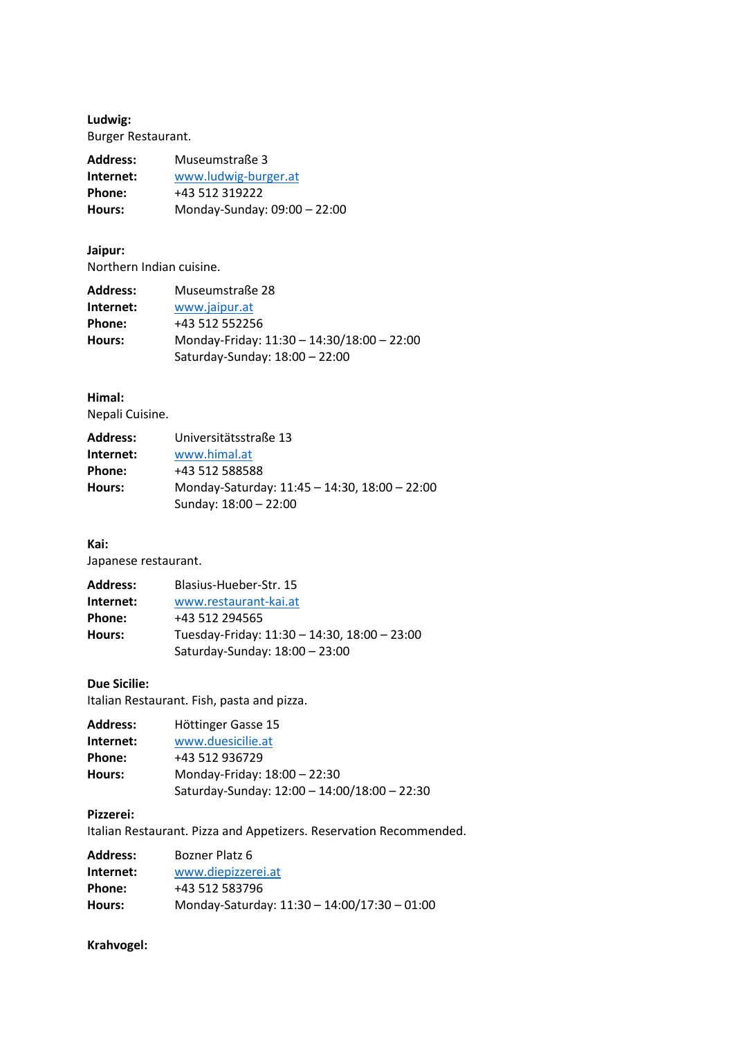**Ludwig:** Burger Restaurant.

| <b>Address:</b> | Museumstraße 3               |
|-----------------|------------------------------|
| Internet:       | www.ludwig-burger.at         |
| Phone:          | +43 512 319222               |
| Hours:          | Monday-Sunday: 09:00 - 22:00 |

# **Jaipur:** Northern Indian cuisine.

| <b>Address:</b> | Museumstraße 28                            |
|-----------------|--------------------------------------------|
| Internet:       | www.jaipur.at                              |
| Phone:          | +43 512 552256                             |
| Hours:          | Monday-Friday: 11:30 - 14:30/18:00 - 22:00 |
|                 | Saturday-Sunday: 18:00 - 22:00             |

# **Himal:**

Nepali Cuisine.

| <b>Address:</b> | Universitätsstraße 13                                                  |
|-----------------|------------------------------------------------------------------------|
| Internet:       | www.himal.at                                                           |
| Phone:          | +43 512 588588                                                         |
| Hours:          | Monday-Saturday: 11:45 - 14:30, 18:00 - 22:00<br>Sunday: 18:00 - 22:00 |

### **Kai:**

Japanese restaurant.

| <b>Address:</b> | Blasius-Hueber-Str. 15                       |
|-----------------|----------------------------------------------|
| Internet:       | www.restaurant-kai.at                        |
| Phone:          | +43 512 294565                               |
| Hours:          | Tuesday-Friday: 11:30 - 14:30, 18:00 - 23:00 |
|                 | Saturday-Sunday: 18:00 - 23:00               |

# **Due Sicilie:**

Italian Restaurant. Fish, pasta and pizza.

| <b>Address:</b> | Höttinger Gasse 15                           |
|-----------------|----------------------------------------------|
| Internet:       | www.duesicilie.at                            |
| Phone:          | +43 512 936729                               |
| Hours:          | Monday-Friday: 18:00 - 22:30                 |
|                 | Saturday-Sunday: 12:00 - 14:00/18:00 - 22:30 |

# **Pizzerei:**

Italian Restaurant. Pizza and Appetizers. Reservation Recommended.

| <b>Address:</b> | Bozner Platz 6                               |
|-----------------|----------------------------------------------|
| Internet:       | www.diepizzerei.at                           |
| Phone:          | +43 512 583796                               |
| Hours:          | Monday-Saturday: 11:30 - 14:00/17:30 - 01:00 |

# **Krahvogel:**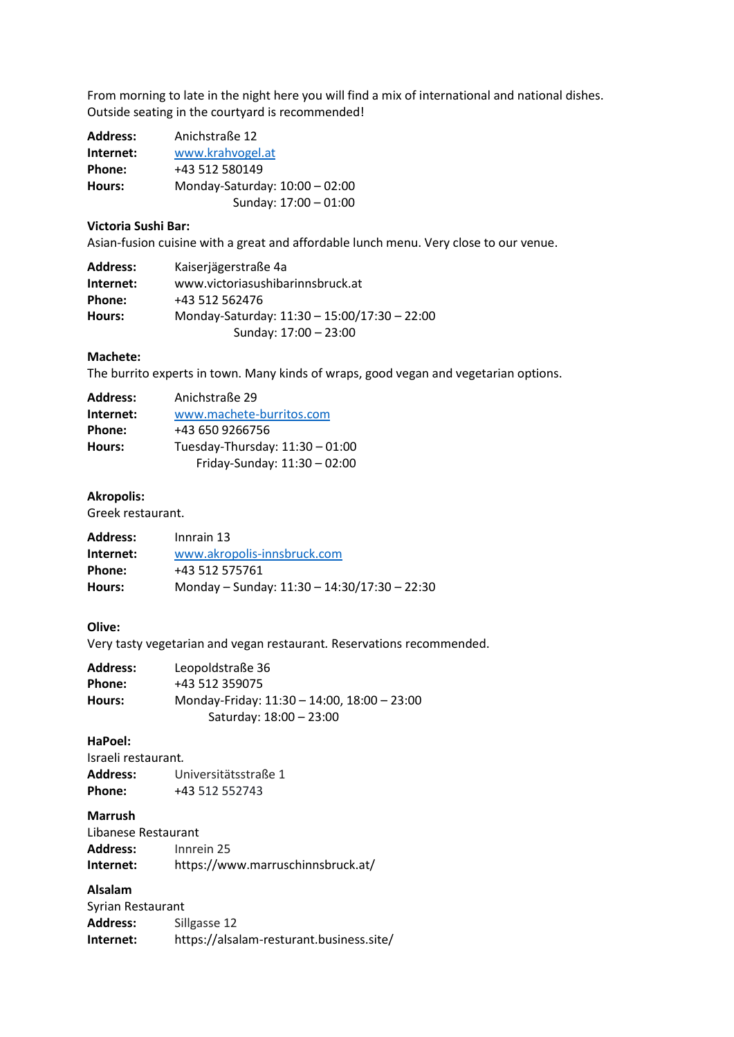From morning to late in the night here you will find a mix of international and national dishes. Outside seating in the courtyard is recommended!

| <b>Address:</b> | Anichstraße 12                 |
|-----------------|--------------------------------|
| Internet:       | www.krahvogel.at               |
| Phone:          | +43 512 580149                 |
| Hours:          | Monday-Saturday: 10:00 - 02:00 |
|                 | Sunday: 17:00 - 01:00          |

# **Victoria Sushi Bar:**

Asian-fusion cuisine with a great and affordable lunch menu. Very close to our venue.

| <b>Address:</b> | Kaiserjägerstraße 4a                         |
|-----------------|----------------------------------------------|
| Internet:       | www.victoriasushibarinnsbruck.at             |
| Phone:          | +43 512 562476                               |
| Hours:          | Monday-Saturday: 11:30 - 15:00/17:30 - 22:00 |
|                 | Sunday: 17:00 - 23:00                        |

### **Machete:**

The burrito experts in town. Many kinds of wraps, good vegan and vegetarian options.

| <b>Address:</b> | Anichstraße 29                  |
|-----------------|---------------------------------|
| Internet:       | www.machete-burritos.com        |
| Phone:          | +43 650 9266756                 |
| Hours:          | Tuesday-Thursday: 11:30 - 01:00 |
|                 | Friday-Sunday: 11:30 - 02:00    |

### **Akropolis:**

Greek restaurant.

| Innrain 13                                   |
|----------------------------------------------|
| www.akropolis-innsbruck.com                  |
| +43 512 575761                               |
| Monday - Sunday: 11:30 - 14:30/17:30 - 22:30 |
|                                              |

# **Olive:**

Very tasty vegetarian and vegan restaurant*.* Reservations recommended.

| <b>Address:</b> | Leopoldstraße 36                                                       |
|-----------------|------------------------------------------------------------------------|
| Phone:          | +43 512 359075                                                         |
| Hours:          | Monday-Friday: 11:30 - 14:00, 18:00 - 23:00<br>Saturday: 18:00 - 23:00 |
|                 |                                                                        |

# **HaPoel:**

Israeli restaurant*.*  **Address:** Universitätsstraße 1 **Phone:** +43 512 552743

#### **Marrush**

| Libanese Restaurant |                                   |
|---------------------|-----------------------------------|
| Address:            | Innrein 25                        |
| Internet:           | https://www.marruschinnsbruck.at/ |

# **Alsalam**

| Syrian Restaurant |                                          |  |
|-------------------|------------------------------------------|--|
| <b>Address:</b>   | Sillgasse 12                             |  |
| Internet:         | https://alsalam-resturant.business.site/ |  |